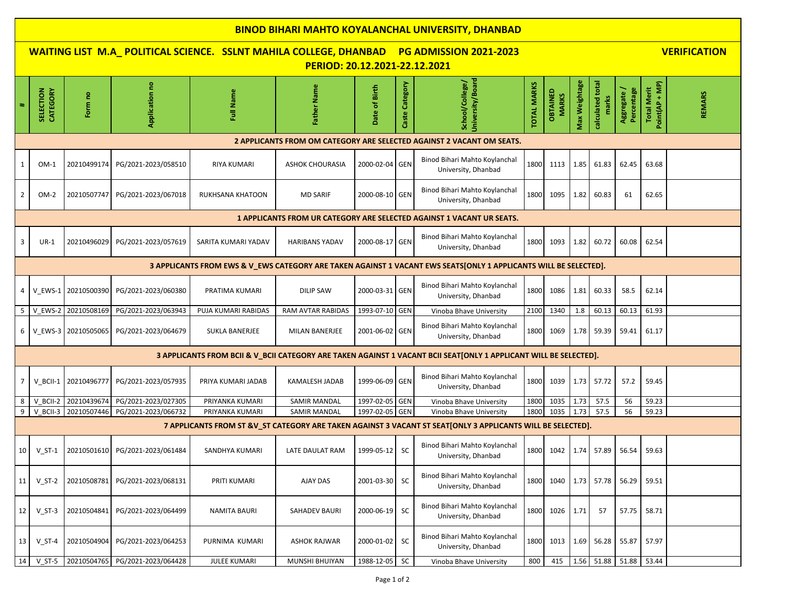| <b>BINOD BIHARI MAHTO KOYALANCHAL UNIVERSITY, DHANBAD</b>                                                        |                                                                                                                                   |                     |                     |                         |                        |                  |                |                                                                                                                   |                    |                          |               |                           |                         |                                      |               |
|------------------------------------------------------------------------------------------------------------------|-----------------------------------------------------------------------------------------------------------------------------------|---------------------|---------------------|-------------------------|------------------------|------------------|----------------|-------------------------------------------------------------------------------------------------------------------|--------------------|--------------------------|---------------|---------------------------|-------------------------|--------------------------------------|---------------|
|                                                                                                                  | <b>WAITING LIST M.A_ POLITICAL SCIENCE. SSLNT MAHILA COLLEGE, DHANBAD</b><br><b>VERIFICATION</b><br><b>PG ADMISSION 2021-2023</b> |                     |                     |                         |                        |                  |                |                                                                                                                   |                    |                          |               |                           |                         |                                      |               |
| PERIOD: 20.12.2021-22.12.2021                                                                                    |                                                                                                                                   |                     |                     |                         |                        |                  |                |                                                                                                                   |                    |                          |               |                           |                         |                                      |               |
|                                                                                                                  | <b>CATEGORY</b><br>SELECTION                                                                                                      | Form no             | Application no      | Full Name               | Father Name            | of Birth<br>Date | Caste Category | University/Board<br>School/College/                                                                               | <b>TOTAL MARKS</b> | OBTAINED<br><b>MARKS</b> | Max Weightage | calculated total<br>marks | Percentage<br>Aggregate | Point(AP + MP)<br><b>Total Merit</b> | <b>REMARS</b> |
| 2 APPLICANTS FROM OM CATEGORY ARE SELECTED AGAINST 2 VACANT OM SEATS.                                            |                                                                                                                                   |                     |                     |                         |                        |                  |                |                                                                                                                   |                    |                          |               |                           |                         |                                      |               |
| 1                                                                                                                | $OM-1$                                                                                                                            | 20210499174         | PG/2021-2023/058510 | <b>RIYA KUMARI</b>      | <b>ASHOK CHOURASIA</b> | 2000-02-04 GEN   |                | Binod Bihari Mahto Koylanchal<br>University, Dhanbad                                                              | 1800               | 1113                     | 1.85          | 61.83                     | 62.45                   | 63.68                                |               |
| $\overline{2}$                                                                                                   | OM-2                                                                                                                              | 20210507747         | PG/2021-2023/067018 | <b>RUKHSANA KHATOON</b> | <b>MD SARIF</b>        | 2000-08-10 GEN   |                | Binod Bihari Mahto Koylanchal<br>University, Dhanbad                                                              | 1800               | 1095                     | 1.82          | 60.83                     | 61                      | 62.65                                |               |
| 1 APPLICANTS FROM UR CATEGORY ARE SELECTED AGAINST 1 VACANT UR SEATS.                                            |                                                                                                                                   |                     |                     |                         |                        |                  |                |                                                                                                                   |                    |                          |               |                           |                         |                                      |               |
| 3                                                                                                                | $UR-1$                                                                                                                            | 20210496029         | PG/2021-2023/057619 | SARITA KUMARI YADAV     | <b>HARIBANS YADAV</b>  | 2000-08-17 GEN   |                | Binod Bihari Mahto Koylanchal<br>University, Dhanbad                                                              | 1800               | 1093                     | 1.82          | 60.72                     | 60.08                   | 62.54                                |               |
| 3 APPLICANTS FROM EWS & V_EWS CATEGORY ARE TAKEN AGAINST 1 VACANT EWS SEATS[ONLY 1 APPLICANTS WILL BE SELECTED]. |                                                                                                                                   |                     |                     |                         |                        |                  |                |                                                                                                                   |                    |                          |               |                           |                         |                                      |               |
| 4                                                                                                                |                                                                                                                                   | V EWS-1 20210500390 | PG/2021-2023/060380 | PRATIMA KUMARI          | <b>DILIP SAW</b>       | 2000-03-31 GEN   |                | Binod Bihari Mahto Koylanchal<br>University, Dhanbad                                                              | 1800               | 1086                     | 1.81          | 60.33                     | 58.5                    | 62.14                                |               |
| -5                                                                                                               | V EWS-2                                                                                                                           | 20210508169         | PG/2021-2023/063943 | PUJA KUMARI RABIDAS     | RAM AVTAR RABIDAS      | 1993-07-10 GEN   |                | Vinoba Bhave University                                                                                           | 2100               | 1340                     | 1.8           | 60.13                     | 60.13                   | 61.93                                |               |
| 6                                                                                                                | V EWS-3                                                                                                                           | 20210505065         | PG/2021-2023/064679 | <b>SUKLA BANERJEE</b>   | <b>MILAN BANERJEE</b>  | 2001-06-02 GEN   |                | Binod Bihari Mahto Koylanchal<br>University, Dhanbad                                                              | 1800               | 1069                     | 1.78          | 59.39                     | 59.41                   | 61.17                                |               |
|                                                                                                                  |                                                                                                                                   |                     |                     |                         |                        |                  |                | 3 APPLICANTS FROM BCII & V_BCII CATEGORY ARE TAKEN AGAINST 1 VACANT BCII SEAT[ONLY 1 APPLICANT WILL BE SELECTED]. |                    |                          |               |                           |                         |                                      |               |
| 7                                                                                                                | V BCII-1                                                                                                                          | 20210496777         | PG/2021-2023/057935 | PRIYA KUMARI JADAB      | KAMALESH JADAB         | 1999-06-09 GEN   |                | Binod Bihari Mahto Koylanchal<br>University, Dhanbad                                                              | 1800               | 1039                     | 1.73          | 57.72                     | 57.2                    | 59.45                                |               |
| 8                                                                                                                | V BCII-2                                                                                                                          | 20210439674         | PG/2021-2023/027305 | PRIYANKA KUMARI         | <b>SAMIR MANDAL</b>    | 1997-02-05 GEN   |                | Vinoba Bhave University                                                                                           | 1800               | 1035                     | 1.73          | 57.5                      | 56                      | 59.23                                |               |
| 9                                                                                                                | V BCII-3                                                                                                                          | 20210507446         | PG/2021-2023/066732 | PRIYANKA KUMARI         | <b>SAMIR MANDAL</b>    | 1997-02-05 GEN   |                | Vinoba Bhave University                                                                                           | 1800               | 1035                     | 1.73          | 57.5                      | 56                      | 59.23                                |               |
|                                                                                                                  |                                                                                                                                   |                     |                     |                         |                        |                  |                | 7 APPLICANTS FROM ST &V_ST CATEGORY ARE TAKEN AGAINST 3 VACANT ST SEAT[ONLY 3 APPLICANTS WILL BE SELECTED].       |                    |                          |               |                           |                         |                                      |               |
| 10 <sup>1</sup>                                                                                                  | $V_S$ T-1                                                                                                                         | 20210501610         | PG/2021-2023/061484 | SANDHYA KUMARI          | LATE DAULAT RAM        | 1999-05-12       | <b>SC</b>      | Binod Bihari Mahto Koylanchal<br>University, Dhanbad                                                              | 1800               | 1042                     | 1.74          | 57.89                     | 56.54                   | 59.63                                |               |
| 11                                                                                                               | $V_S$ T-2                                                                                                                         | 20210508781         | PG/2021-2023/068131 | <b>PRITI KUMARI</b>     | AJAY DAS               | 2001-03-30       | <b>SC</b>      | Binod Bihari Mahto Koylanchal<br>University, Dhanbad                                                              | 1800               | 1040                     | 1.73          | 57.78                     | 56.29                   | 59.51                                |               |
| 12                                                                                                               | $V_S$ T-3                                                                                                                         | 20210504841         | PG/2021-2023/064499 | NAMITA BAURI            | SAHADEV BAURI          | 2000-06-19       | <b>SC</b>      | Binod Bihari Mahto Koylanchal<br>University, Dhanbad                                                              | 1800               | 1026                     | 1.71          | 57                        | 57.75                   | 58.71                                |               |
| 13                                                                                                               | $V_S$ T-4                                                                                                                         | 20210504904         | PG/2021-2023/064253 | PURNIMA KUMARI          | <b>ASHOK RAJWAR</b>    | 2000-01-02       | <b>SC</b>      | Binod Bihari Mahto Koylanchal<br>University, Dhanbad                                                              | 1800               | 1013                     | 1.69          | 56.28                     | 55.87                   | 57.97                                |               |
| 14                                                                                                               | $V_S$ T-5                                                                                                                         | 20210504765         | PG/2021-2023/064428 | <b>JULEE KUMARI</b>     | MUNSHI BHUIYAN         | 1988-12-05       | <b>SC</b>      | Vinoba Bhave University                                                                                           | 800                | 415                      |               | 1.56 51.88 51.88          |                         | 53.44                                |               |